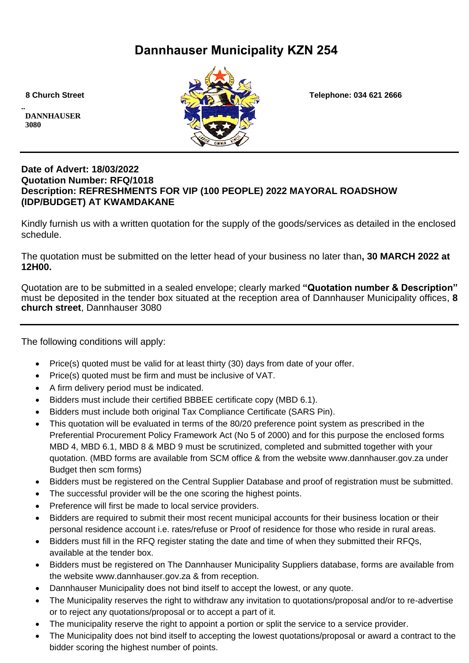# **Dannhauser Municipality KZN 254**

**.. DANNHAUSER 3080** 



 **8 Church Street Telephone: 034 621 2666**

### **Date of Advert: 18/03/2022 Quotation Number: RFQ/1018 Description: REFRESHMENTS FOR VIP (100 PEOPLE) 2022 MAYORAL ROADSHOW (IDP/BUDGET) AT KWAMDAKANE**

Kindly furnish us with a written quotation for the supply of the goods/services as detailed in the enclosed schedule.

The quotation must be submitted on the letter head of your business no later than**, 30 MARCH 2022 at 12H00.**

Quotation are to be submitted in a sealed envelope; clearly marked **"Quotation number & Description"** must be deposited in the tender box situated at the reception area of Dannhauser Municipality offices, **8 church street**, Dannhauser 3080

The following conditions will apply:

- Price(s) quoted must be valid for at least thirty (30) days from date of your offer.
- Price(s) quoted must be firm and must be inclusive of VAT.
- A firm delivery period must be indicated.
- Bidders must include their certified BBBEE certificate copy (MBD 6.1).
- Bidders must include both original Tax Compliance Certificate (SARS Pin).
- This quotation will be evaluated in terms of the 80/20 preference point system as prescribed in the Preferential Procurement Policy Framework Act (No 5 of 2000) and for this purpose the enclosed forms MBD 4, MBD 6.1, MBD 8 & MBD 9 must be scrutinized, completed and submitted together with your quotation. (MBD forms are available from SCM office & from the website www.dannhauser.gov.za under Budget then scm forms)
- Bidders must be registered on the Central Supplier Database and proof of registration must be submitted.
- The successful provider will be the one scoring the highest points.
- Preference will first be made to local service providers.
- Bidders are required to submit their most recent municipal accounts for their business location or their personal residence account i.e. rates/refuse or Proof of residence for those who reside in rural areas.
- Bidders must fill in the RFQ register stating the date and time of when they submitted their RFQs, available at the tender box.
- Bidders must be registered on The Dannhauser Municipality Suppliers database, forms are available from the website www.dannhauser.gov.za & from reception.
- Dannhauser Municipality does not bind itself to accept the lowest, or any quote.
- The Municipality reserves the right to withdraw any invitation to quotations/proposal and/or to re-advertise or to reject any quotations/proposal or to accept a part of it.
- The municipality reserve the right to appoint a portion or split the service to a service provider.
- The Municipality does not bind itself to accepting the lowest quotations/proposal or award a contract to the bidder scoring the highest number of points.